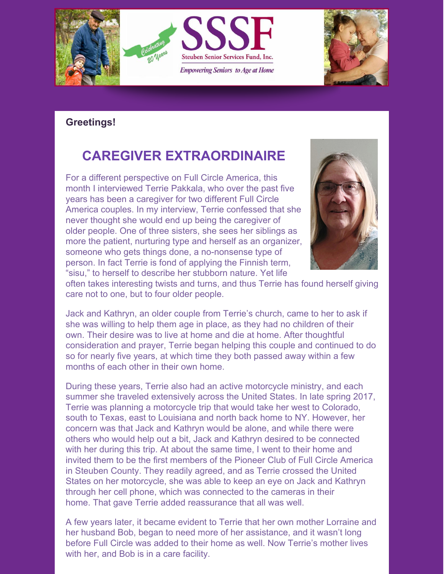



#### **Greetings!**

## **CAREGIVER EXTRAORDINAIRE**

For a different perspective on Full Circle America, this month I interviewed Terrie Pakkala, who over the past five years has been a caregiver for two different Full Circle America couples. In my interview, Terrie confessed that she never thought she would end up being the caregiver of older people. One of three sisters, she sees her siblings as more the patient, nurturing type and herself as an organizer, someone who gets things done, a no-nonsense type of person. In fact Terrie is fond of applying the Finnish term, "sisu," to herself to describe her stubborn nature. Yet life



often takes interesting twists and turns, and thus Terrie has found herself giving care not to one, but to four older people.

Jack and Kathryn, an older couple from Terrie's church, came to her to ask if she was willing to help them age in place, as they had no children of their own. Their desire was to live at home and die at home. After thoughtful consideration and prayer, Terrie began helping this couple and continued to do so for nearly five years, at which time they both passed away within a few months of each other in their own home.

During these years, Terrie also had an active motorcycle ministry, and each summer she traveled extensively across the United States. In late spring 2017, Terrie was planning a motorcycle trip that would take her west to Colorado, south to Texas, east to Louisiana and north back home to NY. However, her concern was that Jack and Kathryn would be alone, and while there were others who would help out a bit, Jack and Kathryn desired to be connected with her during this trip. At about the same time, I went to their home and invited them to be the first members of the Pioneer Club of Full Circle America in Steuben County. They readily agreed, and as Terrie crossed the United States on her motorcycle, she was able to keep an eye on Jack and Kathryn through her cell phone, which was connected to the cameras in their home. That gave Terrie added reassurance that all was well.

A few years later, it became evident to Terrie that her own mother Lorraine and her husband Bob, began to need more of her assistance, and it wasn't long before Full Circle was added to their home as well. Now Terrie's mother lives with her, and Bob is in a care facility.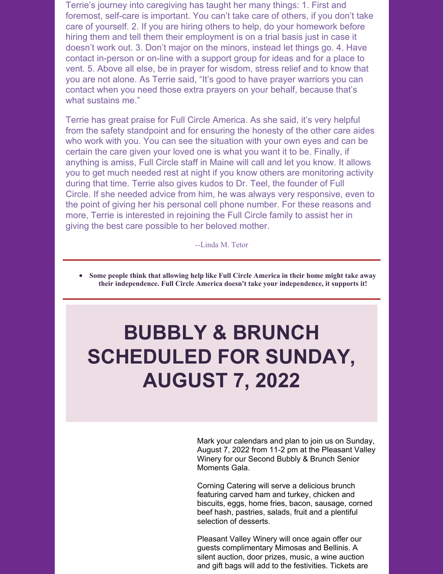Terrie's journey into caregiving has taught her many things: 1. First and foremost, self-care is important. You can't take care of others, if you don't take care of yourself. 2. If you are hiring others to help, do your homework before hiring them and tell them their employment is on a trial basis just in case it doesn't work out. 3. Don't major on the minors, instead let things go. 4. Have contact in-person or on-line with a support group for ideas and for a place to vent. 5. Above all else, be in prayer for wisdom, stress relief and to know that you are not alone. As Terrie said, "It's good to have prayer warriors you can contact when you need those extra prayers on your behalf, because that's what sustains me."

Terrie has great praise for Full Circle America. As she said, it's very helpful from the safety standpoint and for ensuring the honesty of the other care aides who work with you. You can see the situation with your own eyes and can be certain the care given your loved one is what you want it to be. Finally, if anything is amiss, Full Circle staff in Maine will call and let you know. It allows you to get much needed rest at night if you know others are monitoring activity during that time. Terrie also gives kudos to Dr. Teel, the founder of Full Circle. If she needed advice from him, he was always very responsive, even to the point of giving her his personal cell phone number. For these reasons and more, Terrie is interested in rejoining the Full Circle family to assist her in giving the best care possible to her beloved mother.

--Linda M. Tetor

**Some people think that allowing help like Full Circle America in their home might take away their independence. Full Circle America doesn't take your independence, it supports it!**

# **BUBBLY & BRUNCH SCHEDULED FOR SUNDAY, AUGUST 7, 2022**

Mark your calendars and plan to join us on Sunday, August 7, 2022 from 11-2 pm at the Pleasant Valley Winery for our Second Bubbly & Brunch Senior Moments Gala.

Corning Catering will serve a delicious brunch featuring carved ham and turkey, chicken and biscuits, eggs, home fries, bacon, sausage, corned beef hash, pastries, salads, fruit and a plentiful selection of desserts.

Pleasant Valley Winery will once again offer our guests complimentary Mimosas and Bellinis. A silent auction, door prizes, music, a wine auction and gift bags will add to the festivities. Tickets are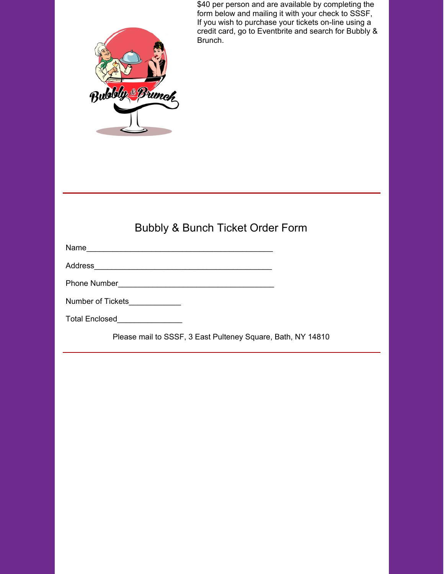

\$40 per person and are available by completing the form below and mailing it with your check to SSSF, If you wish to purchase your tickets on-line using a credit card, go to Eventbrite and search for Bubbly & Brunch.

### Bubbly & Bunch Ticket Order Form

Name\_\_\_\_\_\_\_\_\_\_\_\_\_\_\_\_\_\_\_\_\_\_\_\_\_\_\_\_\_\_\_\_\_\_\_\_\_\_\_\_\_\_\_

Address\_\_\_\_\_\_\_\_\_\_\_\_\_\_\_\_\_\_\_\_\_\_\_\_\_\_\_\_\_\_\_\_\_\_\_\_\_\_\_\_\_

Phone Number\_\_\_\_\_\_\_\_\_\_\_\_\_\_\_\_\_\_\_\_\_\_\_\_\_\_\_\_\_\_\_\_\_\_\_\_

Number of Tickets\_\_\_\_\_\_\_\_\_\_\_\_\_

Total Enclosed

Please mail to SSSF, 3 East Pulteney Square, Bath, NY 14810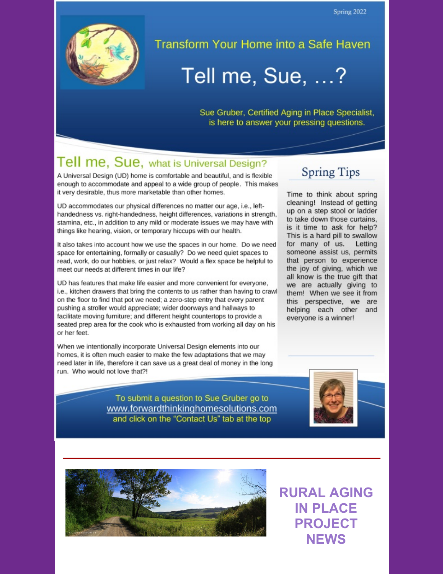Spring 2022



#### Transform Your Home into a Safe Haven

# Tell me, Sue, ...?

Sue Gruber, Certified Aging in Place Specialist, is here to answer your pressing questions.

### Tell me, Sue, what is Universal Design?

A Universal Design (UD) home is comfortable and beautiful, and is flexible enough to accommodate and appeal to a wide group of people. This makes it very desirable, thus more marketable than other homes.

UD accommodates our physical differences no matter our age, i.e., lefthandedness vs. right-handedness, height differences, variations in strength, stamina, etc., in addition to any mild or moderate issues we may have with things like hearing, vision, or temporary hiccups with our health.

It also takes into account how we use the spaces in our home. Do we need space for entertaining, formally or casually? Do we need quiet spaces to read, work, do our hobbies, or just relax? Would a flex space be helpful to meet our needs at different times in our life?

UD has features that make life easier and more convenient for everyone, i.e., kitchen drawers that bring the contents to us rather than having to crawl on the floor to find that pot we need; a zero-step entry that every parent pushing a stroller would appreciate; wider doorways and hallways to facilitate moving furniture; and different height countertops to provide a seated prep area for the cook who is exhausted from working all day on his or her feet.

When we intentionally incorporate Universal Design elements into our homes, it is often much easier to make the few adaptations that we may need later in life, therefore it can save us a great deal of money in the long run. Who would not love that?!

> To submit a question to Sue Gruber go to www.forwardthinkinghomesolutions.com and click on the "Contact Us" tab at the top



Time to think about spring cleaning! Instead of getting up on a step stool or ladder to take down those curtains, is it time to ask for help? This is a hard pill to swallow for many of us. Letting someone assist us, permits that person to experience the joy of giving, which we all know is the true gift that we are actually giving to them! When we see it from this perspective, we are helping each other and everyone is a winner!





**RURAL AGING IN PLACE PROJECT NEWS**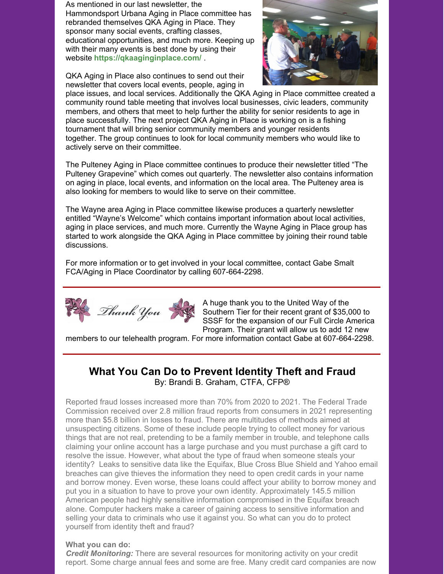As mentioned in our last newsletter, the Hammondsport Urbana Aging in Place committee has rebranded themselves QKA Aging in Place. They sponsor many social events, crafting classes, educational opportunities, and much more. Keeping up with their many events is best done by using their website **<https://qkaaginginplace.com/>** .



QKA Aging in Place also continues to send out their newsletter that covers local events, people, aging in

place issues, and local services. Additionally the QKA Aging in Place committee created a community round table meeting that involves local businesses, civic leaders, community members, and others that meet to help further the ability for senior residents to age in place successfully. The next project QKA Aging in Place is working on is a fishing tournament that will bring senior community members and younger residents together. The group continues to look for local community members who would like to actively serve on their committee.

The Pulteney Aging in Place committee continues to produce their newsletter titled "The Pulteney Grapevine" which comes out quarterly. The newsletter also contains information on aging in place, local events, and information on the local area. The Pulteney area is also looking for members to would like to serve on their committee.

The Wayne area Aging in Place committee likewise produces a quarterly newsletter entitled "Wayne's Welcome" which contains important information about local activities, aging in place services, and much more. Currently the Wayne Aging in Place group has started to work alongside the QKA Aging in Place committee by joining their round table discussions.

For more information or to get involved in your local committee, contact Gabe Smalt FCA/Aging in Place Coordinator by calling 607-664-2298.



A huge thank you to the United Way of the Southern Tier for their recent grant of \$35,000 to SSSF for the expansion of our Full Circle America Program. Their grant will allow us to add 12 new

members to our telehealth program. For more information contact Gabe at 607-664-2298.

#### **What You Can Do to Prevent Identity Theft and Fraud** By: Brandi B. Graham, CTFA, CFP®

Reported fraud losses increased more than 70% from 2020 to 2021. The Federal Trade Commission received over 2.8 million fraud reports from consumers in 2021 representing more than \$5.8 billion in losses to fraud. There are multitudes of methods aimed at unsuspecting citizens. Some of these include people trying to collect money for various things that are not real, pretending to be a family member in trouble, and telephone calls claiming your online account has a large purchase and you must purchase a gift card to resolve the issue. However, what about the type of fraud when someone steals your identity? Leaks to sensitive data like the Equifax, Blue Cross Blue Shield and Yahoo email breaches can give thieves the information they need to open credit cards in your name and borrow money. Even worse, these loans could affect your ability to borrow money and put you in a situation to have to prove your own identity. Approximately 145.5 million American people had highly sensitive information compromised in the Equifax breach alone. Computer hackers make a career of gaining access to sensitive information and selling your data to criminals who use it against you. So what can you do to protect yourself from identity theft and fraud?

#### **What you can do:**

*Credit Monitoring:* There are several resources for monitoring activity on your credit report. Some charge annual fees and some are free. Many credit card companies are now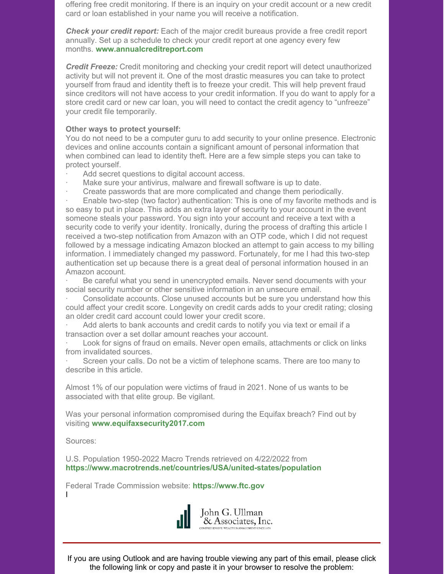offering free credit monitoring. If there is an inquiry on your credit account or a new credit card or loan established in your name you will receive a notification.

*Check your credit report:* Each of the major credit bureaus provide a free credit report annually. Set up a schedule to check your credit report at one agency every few months. **[www.annualcreditreport.com](http://www.annualcreditreport.com/)**

*Credit Freeze:* Credit monitoring and checking your credit report will detect unauthorized activity but will not prevent it. One of the most drastic measures you can take to protect yourself from fraud and identity theft is to freeze your credit. This will help prevent fraud since creditors will not have access to your credit information. If you do want to apply for a store credit card or new car loan, you will need to contact the credit agency to "unfreeze" your credit file temporarily.

#### **Other ways to protect yourself:**

You do not need to be a computer guru to add security to your online presence. Electronic devices and online accounts contain a significant amount of personal information that when combined can lead to identity theft. Here are a few simple steps you can take to protect yourself.

- Add secret questions to digital account access.
- Make sure your antivirus, malware and firewall software is up to date.
- · Create passwords that are more complicated and change them periodically.

Enable two-step (two factor) authentication: This is one of my favorite methods and is so easy to put in place. This adds an extra layer of security to your account in the event someone steals your password. You sign into your account and receive a text with a security code to verify your identity. Ironically, during the process of drafting this article I received a two-step notification from Amazon with an OTP code, which I did not request followed by a message indicating Amazon blocked an attempt to gain access to my billing information. I immediately changed my password. Fortunately, for me I had this two-step authentication set up because there is a great deal of personal information housed in an Amazon account.

· Be careful what you send in unencrypted emails. Never send documents with your social security number or other sensitive information in an unsecure email.

Consolidate accounts. Close unused accounts but be sure you understand how this could affect your credit score. Longevity on credit cards adds to your credit rating; closing an older credit card account could lower your credit score.

Add alerts to bank accounts and credit cards to notify you via text or email if a transaction over a set dollar amount reaches your account.

Look for signs of fraud on emails. Never open emails, attachments or click on links from invalidated sources.

Screen your calls. Do not be a victim of telephone scams. There are too many to describe in this article.

Almost 1% of our population were victims of fraud in 2021. None of us wants to be associated with that elite group. Be vigilant.

Was your personal information compromised during the Equifax breach? Find out by visiting **[www.equifaxsecurity2017.com](http://www.equifaxsecurity2017.com/)**

Sources:

U.S. Population 1950-2022 Macro Trends retrieved on 4/22/2022 from **<https://www.macrotrends.net/countries/USA/united-states/population>**

Federal Trade Commission website: **[https://www.ftc.gov](https://www.ftc.gov/)** I



John G. Ullman & Associates, Inc.

If you are using Outlook and are having trouble viewing any part of this email, please click the following link or copy and paste it in your browser to resolve the problem: